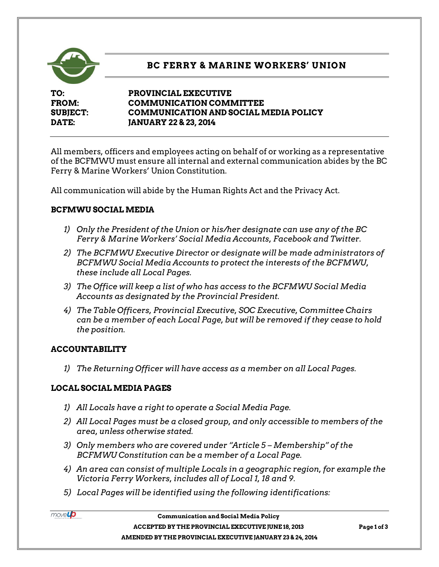

# **BC FERRY & MARINE WORKERS' UNION**

**TO: PROVINCIAL EXECUTIVE FROM: COMMUNICATION COMMITTEE SUBJECT: COMMUNICATION AND SOCIAL MEDIA POLICY DATE: JANUARY 22 & 23, 2014**

All members, officers and employees acting on behalf of or working as a representative of the BCFMWU must ensure all internal and external communication abides by the BC Ferry & Marine Workers' Union Constitution.

All communication will abide by the Human Rights Act and the Privacy Act.

## **BCFMWU SOCIAL MEDIA**

- *1) Only the President of the Union or his/her designate can use any of the BC Ferry & Marine Workers' Social Media Accounts, Facebook and Twitter.*
- *2) The BCFMWU Executive Director or designate will be made administrators of BCFMWU Social Media Accounts to protect the interests of the BCFMWU, these include all Local Pages.*
- *3) The Office will keep a list of who has access to the BCFMWU Social Media Accounts as designated by the Provincial President.*
- *4) The Table Officers, Provincial Executive, SOC Executive, Committee Chairs can be a member of each Local Page, but will be removed if they cease to hold the position.*

## **ACCOUNTABILITY**

movello

*1) The Returning Officer will have access as a member on all Local Pages.*

## **LOCAL SOCIAL MEDIA PAGES**

- *1) All Locals have a right to operate a Social Media Page.*
- *2) All Local Pages must be a closed group, and only accessible to members of the area, unless otherwise stated.*
- *3) Only members who are covered under "Article 5 – Membership" of the BCFMWU Constitution can be a member of a Local Page.*
- *4) An area can consist of multiple Locals in a geographic region, for example the Victoria Ferry Workers, includes all of Local 1, 18 and 9.*
- *5) Local Pages will be identified using the following identifications:*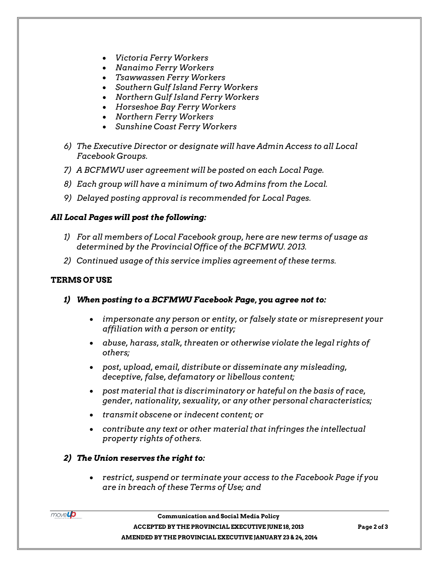- *Victoria Ferry Workers*
- *Nanaimo Ferry Workers*
- *Tsawwassen Ferry Workers*
- *Southern Gulf Island Ferry Workers*
- *Northern Gulf Island Ferry Workers*
- *Horseshoe Bay Ferry Workers*
- *Northern Ferry Workers*
- *Sunshine Coast Ferry Workers*
- *6) The Executive Director or designate will have Admin Access to all Local Facebook Groups.*
- *7) A BCFMWU user agreement will be posted on each Local Page.*
- *8) Each group will have a minimum of two Admins from the Local.*
- *9) Delayed posting approval is recommended for Local Pages.*

#### *All Local Pages will post the following:*

- *1) For all members of Local Facebook group, here are new terms of usage as determined by the Provincial Office of the BCFMWU. 2013.*
- *2) Continued usage of this service implies agreement of these terms.*

#### **TERMS OF USE**

- *1) When posting to a BCFMWU Facebook Page, you agree not to:*
	- *impersonate any person or entity, or falsely state or misrepresent your affiliation with a person or entity;*
	- *abuse, harass, stalk, threaten or otherwise violate the legal rights of others;*
	- *post, upload, email, distribute or disseminate any misleading, deceptive, false, defamatory or libellous content;*
	- *post material that is discriminatory or hateful on the basis of race, gender, nationality, sexuality, or any other personal characteristics;*
	- *transmit obscene or indecent content; or*
	- *contribute any text or other material that infringes the intellectual property rights of others.*
- *2) The Union reserves the right to:*
	- *restrict, suspend or terminate your access to the Facebook Page if you are in breach of these Terms of Use; and*